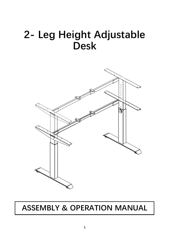# **2- Leg Height Adjustable Desk**



### **ASSEMBLY & OPERATION MANUAL**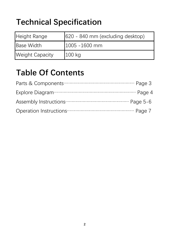## **Technical Specification**

| Height Range           | 620 - 840 mm (excluding desktop) |
|------------------------|----------------------------------|
| <b>Base Width</b>      | $1005 - 1600$ mm                 |
| <b>Weight Capacity</b> | $100$ kg                         |

### **Table Of Contents**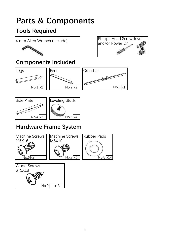## **Parts & Components**

#### **Tools Required**





#### **Components Included**





#### **Hardware Frame System**

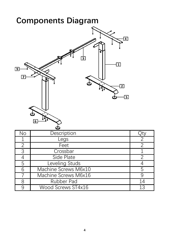|                                           | <b>Components Diagram</b>                                                                                 |                |
|-------------------------------------------|-----------------------------------------------------------------------------------------------------------|----------------|
| $\overline{9}$<br>$\overline{\mathbf{z}}$ | $\overline{\mathbf{4}}$<br>3<br>$\overline{\mathbf{1}}$<br>$\overline{2}$<br>$\overline{\mathbf{5}}$<br>6 |                |
| No                                        | Description                                                                                               | <u>Jty</u>     |
| 1                                         | Legs                                                                                                      | $\overline{2}$ |
| $\overline{2}$                            | Feet                                                                                                      | $\overline{2}$ |
| $\overline{3}$                            | Crossbar                                                                                                  | $\mathbf 1$    |
| $\overline{4}$                            | Side Plate                                                                                                | $\overline{2}$ |
| $\overline{5}$                            | Leveling Studs                                                                                            | $\overline{4}$ |
| $\overline{6}$                            | Machine Screws M6x10                                                                                      | $\overline{5}$ |
| $\overline{7}$                            | Machine Screws M6x16                                                                                      | $\overline{9}$ |
| $\overline{8}$                            | <b>Rubber Pad</b>                                                                                         | 14             |
| 9                                         | Wood Screws ST4x16                                                                                        | 13             |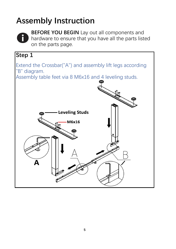### **Assembly Instruction**



**BEFORE YOU BEGIN** Lay out all components and hardware to ensure that you have all the parts listed on the parts page.

#### **Step 1**

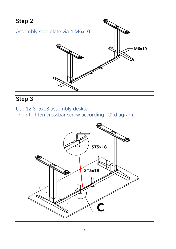